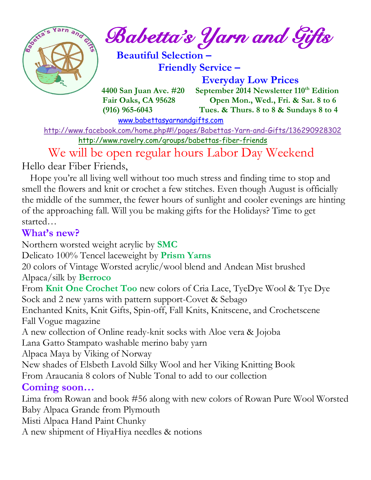

 $\int_{a}^{\frac{1}{2} \cdot \sqrt{2}} \frac{1}{a} \cdot \int_{a}^{a} B_{a} \cdot b$  etta's *Yarn and Gifts* 

 **Beautiful Selection – Friendly Service –**

 **Everyday Low Prices 4400 San Juan Ave. #20 September 2014 Newsletter 110th Edition Fair Oaks, CA 95628 Open Mon., Wed., Fri. & Sat. 8 to 6 (916) 965-6043 Tues. & Thurs. 8 to 8 & Sundays 8 to 4** 

[www.babettasyarnandgifts.com](http://www.babettasyarnandgifts.com/)

 <http://www.facebook.com/home.php#!/pages/Babettas-Yarn-and-Gifts/136290928302> <http://www.ravelry.com/groups/babettas-fiber-friends>

 We will be open regular hours Labor Day Weekend Hello dear Fiber Friends,

 Hope you're all living well without too much stress and finding time to stop and smell the flowers and knit or crochet a few stitches. Even though August is officially the middle of the summer, the fewer hours of sunlight and cooler evenings are hinting of the approaching fall. Will you be making gifts for the Holidays? Time to get started…

### **What's new?**

Northern worsted weight acrylic by **SMC**

Delicato 100% Tencel laceweight by **Prism Yarns**

20 colors of Vintage Worsted acrylic/wool blend and Andean Mist brushed Alpaca/silk by **Berroco**

From **Knit One Crochet Too** new colors of Cria Lace, TyeDye Wool & Tye Dye Sock and 2 new yarns with pattern support-Covet & Sebago

Enchanted Knits, Knit Gifts, Spin-off, Fall Knits, Knitscene, and Crochetscene Fall Vogue magazine

A new collection of Online ready-knit socks with Aloe vera & Jojoba

Lana Gatto Stampato washable merino baby yarn

Alpaca Maya by Viking of Norway

New shades of Elsbeth Lavold Silky Wool and her Viking Knitting Book

From Araucania 8 colors of Nuble Tonal to add to our collection

# **Coming soon…**

Lima from Rowan and book #56 along with new colors of Rowan Pure Wool Worsted Baby Alpaca Grande from Plymouth

Misti Alpaca Hand Paint Chunky

A new shipment of HiyaHiya needles & notions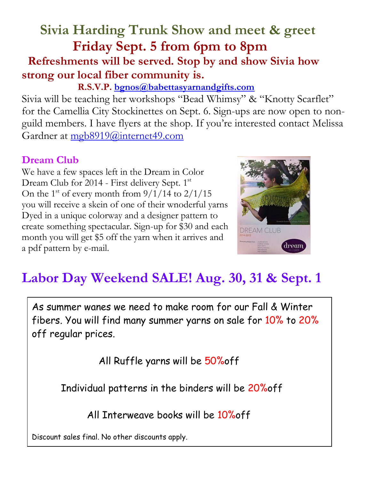# **Sivia Harding Trunk Show and meet & greet Friday Sept. 5 from 6pm to 8pm Refreshments will be served. Stop by and show Sivia how strong our local fiber community is.**

## **R.S.V.P. [bgnos@babettasyarnandgifts.com](mailto:bgnos@babettasyarnandgifts.com)**

Sivia will be teaching her workshops "Bead Whimsy" & "Knotty Scarflet" for the Camellia City Stockinettes on Sept. 6. Sign-ups are now open to nonguild members. I have flyers at the shop. If you're interested contact Melissa Gardner at [mgb8919@internet49.com](mailto:mgb8919@internet49.com)

## **Dream Club**

We have a few spaces left in the Dream in Color Dream Club for 2014 - First delivery Sept. 1st On the 1<sup>st</sup> of every month from  $9/1/14$  to  $2/1/15$ you will receive a skein of one of their wnoderful yarns Dyed in a unique colorway and a designer pattern to create something spectacular. Sign-up for \$30 and each month you will get \$5 off the yarn when it arrives and a pdf pattern by e-mail.



# **Labor Day Weekend SALE! Aug. 30, 31 & Sept. 1**

As summer wanes we need to make room for our Fall & Winter fibers. You will find many summer yarns on sale for 10% to 20% off regular prices.

All Ruffle yarns will be 50%off

Individual patterns in the binders will be 20%off

All Interweave books will be 10%off

Discount sales final. No other discounts apply.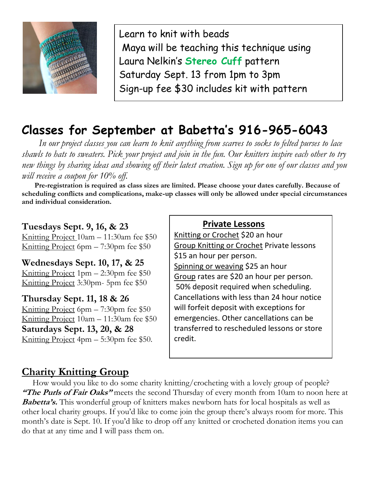

Learn to knit with beads Maya will be teaching this technique using Laura Nelkin's **Stereo Cuff** pattern Saturday Sept. 13 from 1pm to 3pm Sign-up fee \$30 includes kit with pattern

# **Classes for September at Babetta's 916-965-6043**

 *In our project classes you can learn to knit anything from scarves to socks to felted purses to lace shawls to hats to sweaters. Pick your project and join in the fun. Our knitters inspire each other to try new things by sharing ideas and showing off their latest creation. Sign up for one of our classes and you will receive a coupon for 10% off.*

 **Pre-registration is required as class sizes are limited. Please choose your dates carefully. Because of scheduling conflicts and complications, make-up classes will only be allowed under special circumstances and individual consideration.**

#### **Tuesdays Sept. 9, 16, & 23**

Knitting Project 10am – 11:30am fee \$50 Knitting Project 6pm – 7:30pm fee \$50

**Wednesdays Sept. 10, 17, & 25** Knitting Project 1pm – 2:30pm fee \$50 Knitting Project 3:30pm- 5pm fee \$50

**Thursday Sept. 11, 18 & 26** Knitting Project 6pm – 7:30pm fee \$50 Knitting Project 10am – 11:30am fee \$50 **Saturdays Sept. 13, 20, & 28** Knitting Project 4pm – 5:30pm fee \$50.

#### **Private Lessons**

Knitting or Crochet \$20 an hour Group Knitting or Crochet Private lessons \$15 an hour per person. Spinning or weaving \$25 an hour Group rates are \$20 an hour per person. 50% deposit required when scheduling. Cancellations with less than 24 hour notice will forfeit deposit with exceptions for emergencies. Other cancellations can be transferred to rescheduled lessons or store credit.

### **Charity Knitting Group**

 How would you like to do some charity knitting/crocheting with a lovely group of people? **"The Purls of Fair Oaks"** meets the second Thursday of every month from 10am to noon here at **Babetta's.** This wonderful group of knitters makes newborn hats for local hospitals as well as other local charity groups. If you'd like to come join the group there's always room for more. This month's date is Sept. 10. If you'd like to drop off any knitted or crocheted donation items you can do that at any time and I will pass them on.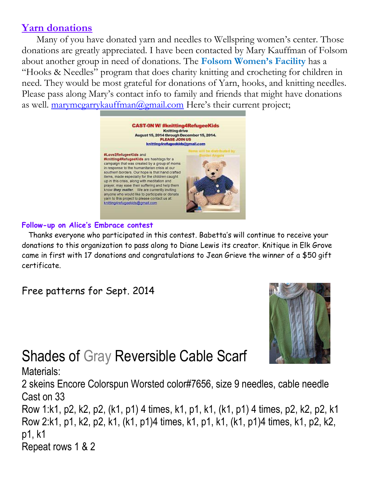### **Yarn donations**

 Many of you have donated yarn and needles to Wellspring women's center. Those donations are greatly appreciated. I have been contacted by Mary Kauffman of Folsom about another group in need of donations. The **Folsom Women's Facility** has a "Hooks & Needles" program that does charity knitting and crocheting for children in need. They would be most grateful for donations of Yarn, hooks, and knitting needles. Please pass along Mary's contact info to family and friends that might have donations as well. [marymcgarrykauffman@gmail.com](mailto:marymcgarrykauffman@gmail.com) Here's their current project;



#### **Follow-up on Alice's Embrace contest**

 Thanks everyone who participated in this contest. Babetta's will continue to receive your donations to this organization to pass along to Diane Lewis its creator. Knitique in Elk Grove came in first with 17 donations and congratulations to Jean Grieve the winner of a \$50 gift certificate.

Free patterns for Sept. 2014



# Shades of Gray Reversible Cable Scarf

Materials: 2 skeins Encore Colorspun Worsted color#7656, size 9 needles, cable needle Cast on 33 Row 1:k1, p2, k2, p2, (k1, p1) 4 times, k1, p1, k1, (k1, p1) 4 times, p2, k2, p2, k1 Row 2:k1, p1, k2, p2, k1, (k1, p1)4 times, k1, p1, k1, (k1, p1)4 times, k1, p2, k2, p1, k1 Repeat rows 1 & 2